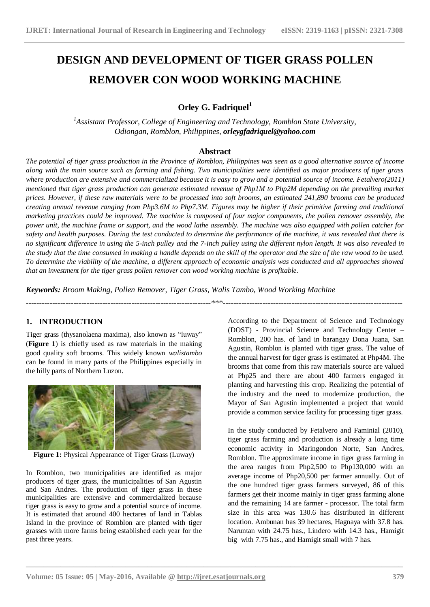# **DESIGN AND DEVELOPMENT OF TIGER GRASS POLLEN REMOVER CON WOOD WORKING MACHINE**

# **Orley G. Fadriquel<sup>1</sup>**

*<sup>1</sup>Assistant Professor, College of Engineering and Technology, Romblon State University, Odiongan, Romblon, Philippines, orleygfadriquel@yahoo.com*

# **Abstract**

*The potential of tiger grass production in the Province of Romblon, Philippines was seen as a good alternative source of income along with the main source such as farming and fishing. Two municipalities were identified as major producers of tiger grass where production are extensive and commercialized because it is easy to grow and a potential source of income. Fetalvero(2011) mentioned that tiger grass production can generate estimated revenue of Php1M to Php2M depending on the prevailing market prices. However, if these raw materials were to be processed into soft brooms, an estimated 241,890 brooms can be produced creating annual revenue ranging from Php3.6M to Php7.3M. Figures may be higher if their primitive farming and traditional marketing practices could be improved. The machine is composed of four major components, the pollen remover assembly, the power unit, the machine frame or support, and the wood lathe assembly. The machine was also equipped with pollen catcher for safety and health purposes. During the test conducted to determine the performance of the machine, it was revealed that there is no significant difference in using the 5-inch pulley and the 7-inch pulley using the different nylon length. It was also revealed in the study that the time consumed in making a handle depends on the skill of the operator and the size of the raw wood to be used. To determine the viability of the machine, a different approach of economic analysis was conducted and all approaches showed that an investment for the tiger grass pollen remover con wood working machine is profitable.*

**\_\_\_\_\_\_\_\_\_\_\_\_\_\_\_\_\_\_\_\_\_\_\_\_\_\_\_\_\_\_\_\_\_\_\_\_\_\_\_\_\_\_\_\_\_\_\_\_\_\_\_\_\_\_\_\_\_\_\_\_\_\_\_\_\_\_\_\_\_\_\_\_\_\_\_\_\_\_\_\_\_\_\_\_\_\_\_**

*Keywords: Broom Making, Pollen Remover, Tiger Grass, Walis Tambo, Wood Working Machine*

#### ----------------------------------------------------------------------\*\*\*--------------------------------------------------------------------

# **1. INTRODUCTION**

Tiger grass (thysanolaena maxima), also known as "luway" (**Figure 1**) is chiefly used as raw materials in the making good quality soft brooms. This widely known *walistambo* can be found in many parts of the Philippines especially in the hilly parts of Northern Luzon.



**Figure 1:** Physical Appearance of Tiger Grass (Luway)

In Romblon, two municipalities are identified as major producers of tiger grass, the municipalities of San Agustin and San Andres. The production of tiger grass in these municipalities are extensive and commercialized because tiger grass is easy to grow and a potential source of income. It is estimated that around 400 hectares of land in Tablas Island in the province of Romblon are planted with tiger grasses with more farms being established each year for the past three years.

According to the Department of Science and Technology (DOST) - Provincial Science and Technology Center – Romblon, 200 has. of land in barangay Dona Juana, San Agustin, Romblon is planted with tiger grass. The value of the annual harvest for tiger grass is estimated at Php4M. The brooms that come from this raw materials source are valued at Php25 and there are about 400 farmers engaged in planting and harvesting this crop. Realizing the potential of the industry and the need to modernize production, the Mayor of San Agustin implemented a project that would provide a common service facility for processing tiger grass.

In the study conducted by Fetalvero and Faminial (2010), tiger grass farming and production is already a long time economic activity in Maringondon Norte, San Andres, Romblon. The approximate income in tiger grass farming in the area ranges from Php2,500 to Php130,000 with an average income of Php20,500 per farmer annually. Out of the one hundred tiger grass farmers surveyed, 86 of this farmers get their income mainly in tiger grass farming alone and the remaining 14 are farmer - processor. The total farm size in this area was 130.6 has distributed in different location. Ambunan has 39 hectares, Hagnaya with 37.8 has. Naruntan with 24.75 has., Lindero with 14.3 has., Hamigit big with 7.75 has., and Hamigit small with 7 has.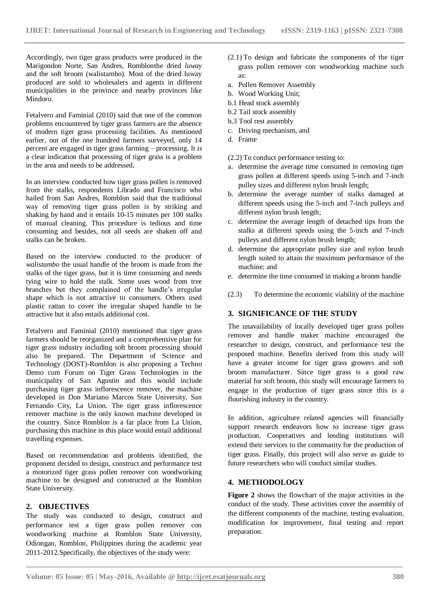Accordingly, two tiger grass products were produced in the Marigondon Norte, San Andres, Romblonthe dried *luway* and the soft broom (walistambo). Most of the dried luway produced are sold to wholesalers and agents in different municipalities in the province and nearby provinces like Mindoro.

Fetalvero and Faminial (2010) said that one of the common problems encountered by tiger grass farmers are the absence of modern tiger grass processing facilities. As mentioned earlier, out of the one hundred farmers surveyed, only 14 percent are engaged in tiger grass farming – processing. It is a clear indication that processing of tiger grass is a problem in the area and needs to be addressed.

In an interview conducted how tiger grass pollen is removed from the stalks, respondents Librado and Francisco who hailed from San Andres, Romblon said that the traditional way of removing tiger grass pollen is by striking and shaking by hand and it entails 10-15 minutes per 100 stalks of manual cleaning. This procedure is tedious and time consuming and besides, not all seeds are shaken off and stalks can be broken.

Based on the interview conducted to the producer of *walistambo* the usual handle of the broom is made from the stalks of the tiger grass, but it is time consuming and needs tying wire to hold the stalk. Some uses wood from tree branches but they complained of the handle's irregular shape which is not attractive to consumers. Others used plastic rattan to cover the irregular shaped handle to be attractive but it also entails additional cost.

Fetalvero and Faminial (2010) mentioned that tiger grass farmers should be reorganized and a comprehensive plan for tiger grass industry including soft broom processing should also be prepared. The Department of Science and Technology (DOST)-Romblon is also proposing a Techno Demo cum Forum on Tiger Grass Technologies in the municipality of San Agustin and this would include purchasing tiger grass inflorescence remover, the machine developed in Don Mariano Marcos State University, San Fernando City, La Union. The tiger grass inflorescence remover machine is the only known machine developed in the country. Since Romblon is a far place from La Union, purchasing this machine in this place would entail additional travelling expenses.

Based on recommendation and problems identified, the proponent decided to design, construct and performance test a motorized tiger grass pollen remover con woodworking machine to be designed and constructed at the Romblon State University.

# **2. OBJECTIVES**

The study was conducted to design, construct and performance test a tiger grass pollen remover con woodworking machine at Romblon State University, Odiongan, Romblon, Philippines during the academic year 2011-2012.Specifically, the objectives of the study were:

- (2.1) To design and fabricate the components of the tiger grass pollen remover con woodworking machine such as:
- a. Pollen Remover Assembly
- b. Wood Working Unit;
- b.1 Head stock assembly
- b.2 Tail stock assembly
- b.3 Tool rest assembly
- c. Driving mechanism, and
- d. Frame

(2.2) To conduct performance testing to:

- a. determine the average time consumed in removing tiger grass pollen at different speeds using 5-inch and 7-inch pulley sizes and different nylon brush length;
- b. determine the average number of stalks damaged at different speeds using the 5-inch and 7-inch pulleys and different nylon brush length;
- c. determine the average length of detached tips from the stalks at different speeds using the 5-inch and 7-inch pulleys and different nylon brush length;
- d. determine the appropriate pulley size and nylon brush length suited to attain the maximum performance of the machine; and
- e. determine the time consumed in making a broom handle
- (2.3) To determine the economic viability of the machine

# **3. SIGNIFICANCE OF THE STUDY**

The unavailability of locally developed tiger grass pollen remover and handle maker machine encouraged the researcher to design, construct, and performance test the proposed machine. Benefits derived from this study will have a greater income for tiger grass growers and soft broom manufacturer. Since tiger grass is a good raw material for soft broom, this study will encourage farmers to engage in the production of tiger grass since this is a flourishing industry in the country.

In addition, agriculture related agencies will financially support research endeavors how to increase tiger grass production. Cooperatives and lending institutions will extend their services to the community for the production of tiger grass. Finally, this project will also serve as guide to future researchers who will conduct similar studies.

# **4. METHODOLOGY**

**\_\_\_\_\_\_\_\_\_\_\_\_\_\_\_\_\_\_\_\_\_\_\_\_\_\_\_\_\_\_\_\_\_\_\_\_\_\_\_\_\_\_\_\_\_\_\_\_\_\_\_\_\_\_\_\_\_\_\_\_\_\_\_\_\_\_\_\_\_\_\_\_\_\_\_\_\_\_\_\_\_\_\_\_\_\_\_**

**Figure 2** shows the flowchart of the major activities in the conduct of the study. These activities cover the assembly of the different components of the machine, testing evaluation, modification for improvement, final testing and report preparation.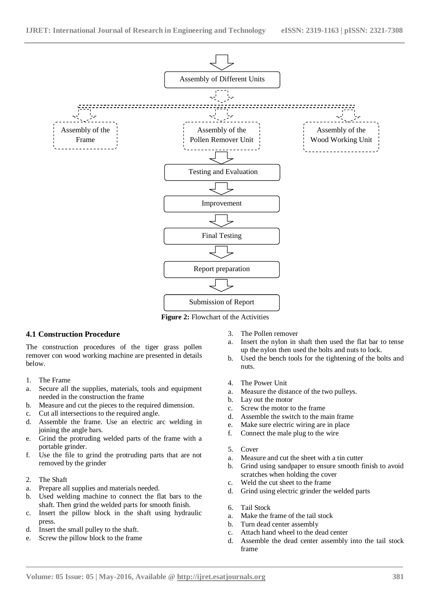

**Figure 2:** Flowchart of the Activities

# **4.1 Construction Procedure**

The construction procedures of the tiger grass pollen remover con wood working machine are presented in details below.

- 1. The Frame
- a. Secure all the supplies, materials, tools and equipment needed in the construction the frame
- b. Measure and cut the pieces to the required dimension.
- c. Cut all intersections to the required angle.
- d. Assemble the frame. Use an electric arc welding in joining the angle bars.
- e. Grind the protruding welded parts of the frame with a portable grinder.
- f. Use the file to grind the protruding parts that are not removed by the grinder
- 2. The Shaft
- a. Prepare all supplies and materials needed.
- b. Used welding machine to connect the flat bars to the shaft. Then grind the welded parts for smooth finish.
- c. Insert the pillow block in the shaft using hydraulic press.
- d. Insert the small pulley to the shaft.
- e. Screw the pillow block to the frame
- 3. The Pollen remover
- a. Insert the nylon in shaft then used the flat bar to tense up the nylon then used the bolts and nuts to lock.
- b. Used the bench tools for the tightening of the bolts and nuts.
- 4. The Power Unit
- a. Measure the distance of the two pulleys.
- b. Lay out the motor
- c. Screw the motor to the frame
- d. Assemble the switch to the main frame
- e. Make sure electric wiring are in place
- f. Connect the male plug to the wire
- 5. Cover
- a. Measure and cut the sheet with a tin cutter
- b. Grind using sandpaper to ensure smooth finish to avoid scratches when holding the cover
- c. Weld the cut sheet to the frame
- d. Grind using electric grinder the welded parts
- 6. Tail Stock

- a. Make the frame of the tail stock
- b. Turn dead center assembly
- c. Attach hand wheel to the dead center
- d. Assemble the dead center assembly into the tail stock frame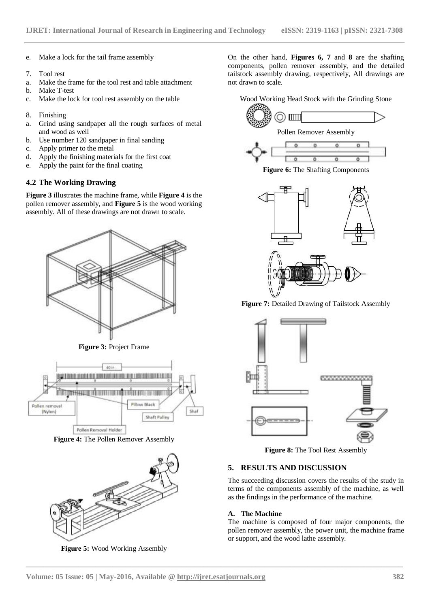- e. Make a lock for the tail frame assembly
- 7. Tool rest
- a. Make the frame for the tool rest and table attachment
- b. Make T-test
- c. Make the lock for tool rest assembly on the table
- 8. Finishing
- a. Grind using sandpaper all the rough surfaces of metal and wood as well
- b. Use number 120 sandpaper in final sanding
- c. Apply primer to the metal
- d. Apply the finishing materials for the first coat
- e. Apply the paint for the final coating

# **4.2 The Working Drawing**

**Figure 3** illustrates the machine frame, while **Figure 4** is the pollen remover assembly, and **Figure 5** is the wood working assembly. All of these drawings are not drawn to scale.



**Figure 3:** Project Frame



**Figure 4:** The Pollen Remover Assembly



**Figure 5:** Wood Working Assembly

On the other hand, **Figures 6, 7** and **8** are the shafting components, pollen remover assembly, and the detailed tailstock assembly drawing, respectively, All drawings are not drawn to scale.





**Figure 6:** The Shafting Components



Figure 7: Detailed Drawing of Tailstock Assembly



**Figure 8:** The Tool Rest Assembly

# **5. RESULTS AND DISCUSSION**

The succeeding discussion covers the results of the study in terms of the components assembly of the machine, as well as the findings in the performance of the machine.

# **A. The Machine**

**\_\_\_\_\_\_\_\_\_\_\_\_\_\_\_\_\_\_\_\_\_\_\_\_\_\_\_\_\_\_\_\_\_\_\_\_\_\_\_\_\_\_\_\_\_\_\_\_\_\_\_\_\_\_\_\_\_\_\_\_\_\_\_\_\_\_\_\_\_\_\_\_\_\_\_\_\_\_\_\_\_\_\_\_\_\_\_**

The machine is composed of four major components, the pollen remover assembly, the power unit, the machine frame or support, and the wood lathe assembly.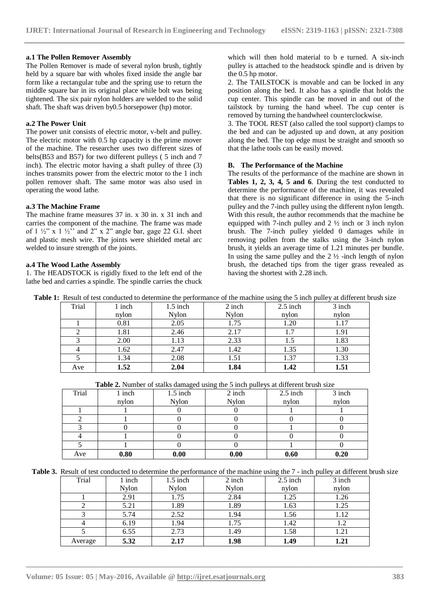#### **a.1 The Pollen Remover Assembly**

The Pollen Remover is made of several nylon brush, tightly held by a square bar with wholes fixed inside the angle bar form like a rectangular tube and the spring use to return the middle square bar in its original place while bolt was being tightened. The six pair nylon holders are welded to the solid shaft. The shaft was driven by0.5 horsepower (hp) motor.

#### **a.2 The Power Unit**

The power unit consists of electric motor, v-belt and pulley. The electric motor with 0.5 hp capacity is the prime mover of the machine. The researcher uses two different sizes of belts(B53 and B57) for two different pulleys ( 5 inch and 7 inch). The electric motor having a shaft pulley of three (3) inches transmits power from the electric motor to the 1 inch pollen remover shaft. The same motor was also used in operating the wood lathe.

#### **a.3 The Machine Frame**

The machine frame measures 37 in. x 30 in. x 31 inch and carries the component of the machine. The frame was made of  $1 \frac{1}{2}$ " x  $1 \frac{1}{2}$ " and  $2$ " x  $2$ " angle bar, gage 22 G.I. sheet and plastic mesh wire. The joints were shielded metal arc welded to insure strength of the joints.

### **a.4 The Wood Lathe Assembly**

1. The HEADSTOCK is rigidly fixed to the left end of the lathe bed and carries a spindle. The spindle carries the chuck which will then hold material to b e turned. A six-inch pulley is attached to the headstock spindle and is driven by the 0.5 hp motor.

2. The TAILSTOCK is movable and can be locked in any position along the bed. It also has a spindle that holds the cup center. This spindle can be moved in and out of the tailstock by turning the hand wheel. The cup center is removed by turning the handwheel counterclockwise.

3. The TOOL REST (also called the tool support) clamps to the bed and can be adjusted up and down, at any position along the bed. The top edge must be straight and smooth so that the lathe tools can be easily moved.

#### **B. The Performance of the Machine**

The results of the performance of the machine are shown in **Tables 1, 2, 3, 4, 5 and 6**. During the test conducted to determine the performance of the machine, it was revealed that there is no significant difference in using the 5-inch pulley and the 7-inch pulley using the different nylon length. With this result, the author recommends that the machine be equipped with 7-inch pulley and 2 ½ inch or 3 inch nylon brush. The 7-inch pulley yielded 0 damages while in removing pollen from the stalks using the 3-inch nylon brush, it yields an average time of 1.21 minutes per bundle. In using the same pulley and the  $2 \frac{1}{2}$  -inch length of nylon brush, the detached tips from the tiger grass revealed as having the shortest with 2.28 inch.

|  | <b>Table 1:</b> Result of test conducted to determine the performance of the machine using the 5 inch pulley at different brush size |  |  |  |  |  |
|--|--------------------------------------------------------------------------------------------------------------------------------------|--|--|--|--|--|
|  |                                                                                                                                      |  |  |  |  |  |

| Trial | l inch | $1.5$ inch   | 2 inch | $2.5$ inch | 3 inch |
|-------|--------|--------------|--------|------------|--------|
|       | nylon  | <b>Nylon</b> | Nylon  | nylon      | nylon  |
|       | 0.81   | 2.05         | 1.75   | 1.20       | 1.17   |
|       | 1.81   | 2.46         | 2.17   | 1.7        | 1.91   |
|       | 2.00   | 1.13         | 2.33   |            | 1.83   |
|       | 1.62   | 2.47         | 1.42   | 1.35       | 1.30   |
|       | 1.34   | 2.08         | 1.51   | 1.37       | 1.33   |
| Ave   | 1.52   | 2.04         | 1.84   | 1.42       | 1.51   |

| <b>Table 2.</b> Number of stalks damaged using the 5 inch pulleys at different brush size |
|-------------------------------------------------------------------------------------------|
|-------------------------------------------------------------------------------------------|

| Trial | 1 inch | $1.5$ inch   | ັ<br>2 inch  | $2.5$ inch | 3 inch |
|-------|--------|--------------|--------------|------------|--------|
|       | nylon  | <b>Nylon</b> | <b>Nylon</b> | nylon      | nylon  |
|       |        |              |              |            |        |
|       |        |              |              |            |        |
|       |        |              |              |            |        |
|       |        |              |              |            |        |
|       |        |              |              |            |        |
| Ave   | 0.80   | 0.00         | 0.00         | 0.60       | 0.20   |

**Table 3.** Result of test conducted to determine the performance of the machine using the 7 - inch pulley at different brush size

| Trial   | inch         | $1.5$ inch   | $2$ inch     | $2.5$ inch | 3 inch |
|---------|--------------|--------------|--------------|------------|--------|
|         | <b>Nylon</b> | <b>Nylon</b> | <b>Nylon</b> | nylon      | nylon  |
|         | 2.91         | 1.75         | 2.84         | 1.25       | 1.26   |
|         | 5.21         | 1.89         | 1.89         | 1.63       | 1.25   |
|         | 5.74         | 2.52         | 1.94         | 1.56       | 1.12   |
|         | 6.19         | 1.94         | 1.75         | 1.42       | 1.2    |
|         | 6.55         | 2.73         | 1.49         | 1.58       | 1.21   |
| Average | 5.32         | 2.17         | 1.98         | 1.49       | 1.21   |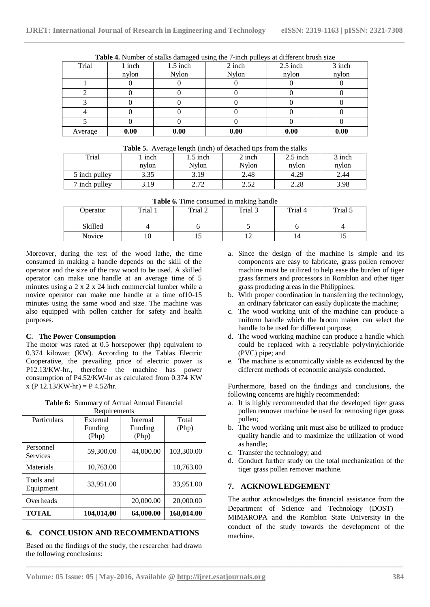| Trial   | 1 inch | $1.5$ inch   | <b>Table 4.</b> INDICA OF Starks damaged using the 7-film pully's at unfertile brush size<br>2 inch | $2.5$ inch | 3 inch |
|---------|--------|--------------|-----------------------------------------------------------------------------------------------------|------------|--------|
|         | nylon  | <b>Nylon</b> | <b>Nylon</b>                                                                                        | nylon      | nylon  |
|         |        |              |                                                                                                     |            |        |
|         |        |              |                                                                                                     |            |        |
|         |        |              |                                                                                                     |            |        |
|         |        |              |                                                                                                     |            |        |
|         |        |              |                                                                                                     |            |        |
| Average | 0.00   | 0.00         | 0.00                                                                                                | 0.00       | 0.00   |

|  |  |  |  | Table 4. Number of stalks damaged using the 7-inch pulleys at different brush size |
|--|--|--|--|------------------------------------------------------------------------------------|
|  |  |  |  |                                                                                    |
|  |  |  |  |                                                                                    |

|               | $\sim$ |                |        |            |        |
|---------------|--------|----------------|--------|------------|--------|
| Trial         | inch   | 1.5 inch       | 2 inch | $2.5$ inch | 3 inch |
|               | nylon  | Nvlon          | Nvlon  | nylon      | nylon  |
| 5 inch pulley | 3.35   | 3.19           | 2.48   | 4.29       | 2.44   |
| 7 inch pulley | -19    | າ 71<br>4. I 4 | 2.JZ   | 2.28       | 3.98   |

| Table 6. Time consumed in making handle |
|-----------------------------------------|
|-----------------------------------------|

|          |         |         | --      |         |         |
|----------|---------|---------|---------|---------|---------|
| Operator | Trial 1 | Trial 2 | Trial 3 | Trial 4 | Trial 5 |
| Skilled  |         |         |         |         |         |
| Novice   |         | ⊥ J     | ∸       |         | ⊥৺      |

**\_\_\_\_\_\_\_\_\_\_\_\_\_\_\_\_\_\_\_\_\_\_\_\_\_\_\_\_\_\_\_\_\_\_\_\_\_\_\_\_\_\_\_\_\_\_\_\_\_\_\_\_\_\_\_\_\_\_\_\_\_\_\_\_\_\_\_\_\_\_\_\_\_\_\_\_\_\_\_\_\_\_\_\_\_\_\_**

Moreover, during the test of the wood lathe, the time consumed in making a handle depends on the skill of the operator and the size of the raw wood to be used. A skilled operator can make one handle at an average time of 5 minutes using a 2 x 2 x 24 inch commercial lumber while a novice operator can make one handle at a time of10-15 minutes using the same wood and size. The machine was also equipped with pollen catcher for safety and health purposes.

# **C. The Power Consumption**

The motor was rated at 0.5 horsepower (hp) equivalent to 0.374 kilowatt (KW). According to the Tablas Electric Cooperative, the prevailing price of electric power is P12.13/KW-hr., therefore the machine has power consumption of P4.52/KW-hr as calculated from 0.374 KW  $x (P 12.13/KW-hr) = P 4.52/hr.$ 

| Table 6: Summary of Actual Annual Financial |
|---------------------------------------------|
| Requirements                                |

| Particulars            | External   | Internal  | Total      |
|------------------------|------------|-----------|------------|
|                        | Funding    | Funding   | (Php)      |
|                        | (Php)      | (Php)     |            |
| Personnel<br>Services  | 59,300.00  | 44,000.00 | 103,300.00 |
| Materials              | 10,763.00  |           | 10,763.00  |
| Tools and<br>Equipment | 33,951.00  |           | 33,951.00  |
| Overheads              |            | 20,000.00 | 20,000.00  |
| <b>TOTAL</b>           | 104,014,00 | 64,000.00 | 168,014.00 |

# **6. CONCLUSION AND RECOMMENDATIONS**

Based on the findings of the study, the researcher had drawn the following conclusions:

- a. Since the design of the machine is simple and its components are easy to fabricate, grass pollen remover machine must be utilized to help ease the burden of tiger grass farmers and processors in Romblon and other tiger grass producing areas in the Philippines;
- b. With proper coordination in transferring the technology, an ordinary fabricator can easily duplicate the machine;
- c. The wood working unit of the machine can produce a uniform handle which the broom maker can select the handle to be used for different purpose;
- d. The wood working machine can produce a handle which could be replaced with a recyclable polyvinylchloride (PVC) pipe; and
- e. The machine is economically viable as evidenced by the different methods of economic analysis conducted.

Furthermore, based on the findings and conclusions, the following concerns are highly recommended:

- a. It is highly recommended that the developed tiger grass pollen remover machine be used for removing tiger grass pollen;
- b. The wood working unit must also be utilized to produce quality handle and to maximize the utilization of wood as handle;
- c. Transfer the technology; and
- d. Conduct further study on the total mechanization of the tiger grass pollen remover machine.

# **7. ACKNOWLEDGEMENT**

The author acknowledges the financial assistance from the Department of Science and Technology (DOST) – MIMAROPA and the Romblon State University in the conduct of the study towards the development of the machine.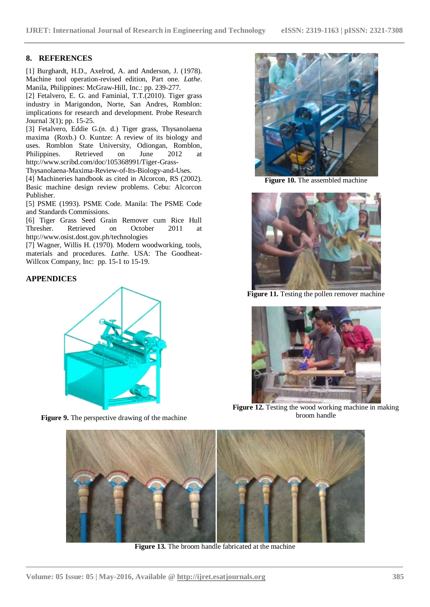# **8. REFERENCES**

[1] Burghardt, H.D., Axelrod, A. and Anderson, J. (1978). Machine tool operation-revised edition, Part one. *Lathe*. Manila, Philippines: McGraw-Hill, Inc.: pp. 239-277.

[2] Fetalvero, E. G. and Faminial, T.T.(2010). Tiger grass industry in Marigondon, Norte, San Andres, Romblon: implications for research and development. Probe Research Journal 3(1); pp. 15-25.

[3] Fetalvero, Eddie G.(n. d.) Tiger grass, Thysanolaena maxima (Roxb.) O. Kuntze: A review of its biology and uses. Romblon State University, Odiongan, Romblon, Philippines. Retrieved on June 2012 at http://www.scribd.com/doc/105368991/Tiger-Grass-

Thysanolaena-Maxima-Review-of-Its-Biology-and-Uses.

[4] Machineries handbook as cited in Alcorcon, RS (2002). Basic machine design review problems. Cebu: Alcorcon Publisher.

[5] PSME (1993). PSME Code. Manila: The PSME Code and Standards Commissions.

[6] Tiger Grass Seed Grain Remover cum Rice Hull Thresher. Retrieved on October 2011 at http://www.osist.dost.gov.ph/technologies

[7] Wagner, Willis H. (1970). Modern woodworking, tools, materials and procedures*. Lathe.* USA: The Goodheat-Willcox Company, Inc: pp. 15-1 to 15-19.

# **APPENDICES**



**Figure 9.** The perspective drawing of the machine



**Figure 10.** The assembled machine



**Figure 11.** Testing the pollen remover machine



**Figure 12.** Testing the wood working machine in making broom handle



**Figure 13.** The broom handle fabricated at the machine